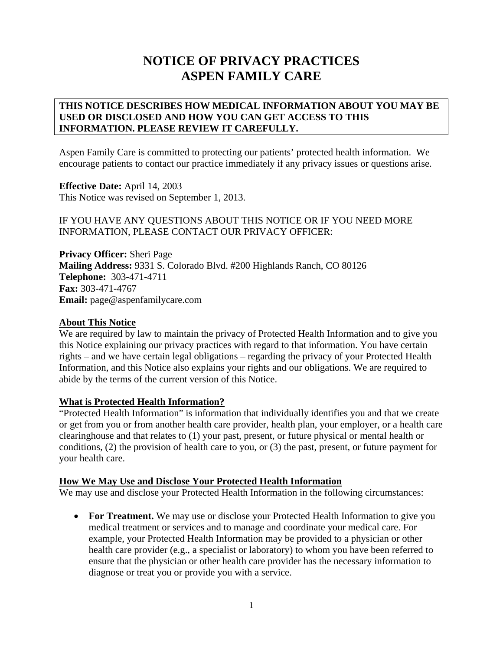# **NOTICE OF PRIVACY PRACTICES ASPEN FAMILY CARE**

# **THIS NOTICE DESCRIBES HOW MEDICAL INFORMATION ABOUT YOU MAY BE USED OR DISCLOSED AND HOW YOU CAN GET ACCESS TO THIS INFORMATION. PLEASE REVIEW IT CAREFULLY.**

Aspen Family Care is committed to protecting our patients' protected health information. We encourage patients to contact our practice immediately if any privacy issues or questions arise.

**Effective Date:** April 14, 2003 This Notice was revised on September 1, 2013.

## IF YOU HAVE ANY QUESTIONS ABOUT THIS NOTICE OR IF YOU NEED MORE INFORMATION, PLEASE CONTACT OUR PRIVACY OFFICER:

**Privacy Officer:** Sheri Page **Mailing Address:** 9331 S. Colorado Blvd. #200 Highlands Ranch, CO 80126 **Telephone:** 303-471-4711 **Fax:** 303-471-4767 **Email:** page@aspenfamilycare.com

# **About This Notice**

We are required by law to maintain the privacy of Protected Health Information and to give you this Notice explaining our privacy practices with regard to that information. You have certain rights – and we have certain legal obligations – regarding the privacy of your Protected Health Information, and this Notice also explains your rights and our obligations. We are required to abide by the terms of the current version of this Notice.

#### **What is Protected Health Information?**

"Protected Health Information" is information that individually identifies you and that we create or get from you or from another health care provider, health plan, your employer, or a health care clearinghouse and that relates to (1) your past, present, or future physical or mental health or conditions, (2) the provision of health care to you, or (3) the past, present, or future payment for your health care.

#### **How We May Use and Disclose Your Protected Health Information**

We may use and disclose your Protected Health Information in the following circumstances:

• For Treatment. We may use or disclose your Protected Health Information to give you medical treatment or services and to manage and coordinate your medical care. For example, your Protected Health Information may be provided to a physician or other health care provider (e.g., a specialist or laboratory) to whom you have been referred to ensure that the physician or other health care provider has the necessary information to diagnose or treat you or provide you with a service.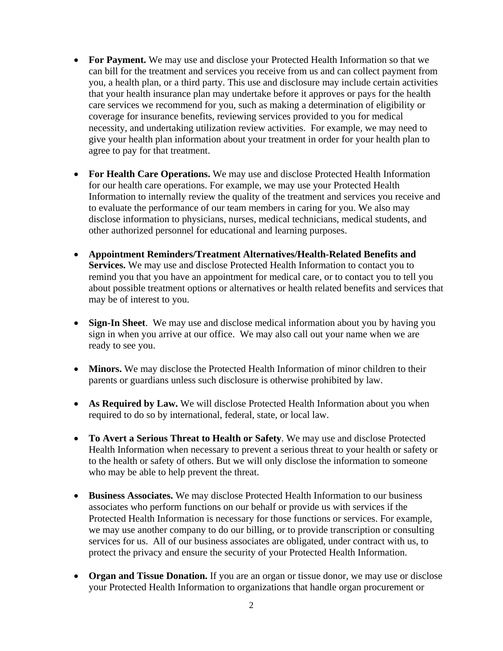- **For Payment.** We may use and disclose your Protected Health Information so that we can bill for the treatment and services you receive from us and can collect payment from you, a health plan, or a third party. This use and disclosure may include certain activities that your health insurance plan may undertake before it approves or pays for the health care services we recommend for you, such as making a determination of eligibility or coverage for insurance benefits, reviewing services provided to you for medical necessity, and undertaking utilization review activities. For example, we may need to give your health plan information about your treatment in order for your health plan to agree to pay for that treatment.
- **For Health Care Operations.** We may use and disclose Protected Health Information for our health care operations. For example, we may use your Protected Health Information to internally review the quality of the treatment and services you receive and to evaluate the performance of our team members in caring for you. We also may disclose information to physicians, nurses, medical technicians, medical students, and other authorized personnel for educational and learning purposes.
- **Appointment Reminders/Treatment Alternatives/Health-Related Benefits and Services.** We may use and disclose Protected Health Information to contact you to remind you that you have an appointment for medical care, or to contact you to tell you about possible treatment options or alternatives or health related benefits and services that may be of interest to you.
- **Sign-In Sheet**. We may use and disclose medical information about you by having you sign in when you arrive at our office. We may also call out your name when we are ready to see you.
- **Minors.** We may disclose the Protected Health Information of minor children to their parents or guardians unless such disclosure is otherwise prohibited by law.
- **As Required by Law.** We will disclose Protected Health Information about you when required to do so by international, federal, state, or local law.
- **To Avert a Serious Threat to Health or Safety**. We may use and disclose Protected Health Information when necessary to prevent a serious threat to your health or safety or to the health or safety of others. But we will only disclose the information to someone who may be able to help prevent the threat.
- **Business Associates.** We may disclose Protected Health Information to our business associates who perform functions on our behalf or provide us with services if the Protected Health Information is necessary for those functions or services. For example, we may use another company to do our billing, or to provide transcription or consulting services for us. All of our business associates are obligated, under contract with us, to protect the privacy and ensure the security of your Protected Health Information.
- **Organ and Tissue Donation.** If you are an organ or tissue donor, we may use or disclose your Protected Health Information to organizations that handle organ procurement or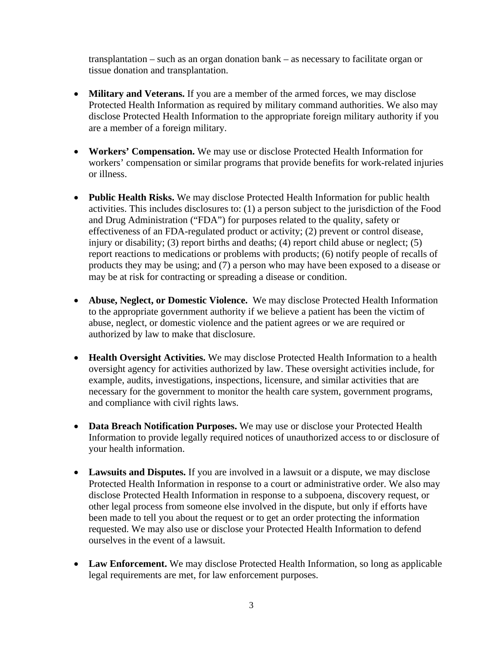transplantation – such as an organ donation bank – as necessary to facilitate organ or tissue donation and transplantation.

- **Military and Veterans.** If you are a member of the armed forces, we may disclose Protected Health Information as required by military command authorities. We also may disclose Protected Health Information to the appropriate foreign military authority if you are a member of a foreign military.
- **Workers' Compensation.** We may use or disclose Protected Health Information for workers' compensation or similar programs that provide benefits for work-related injuries or illness.
- **Public Health Risks.** We may disclose Protected Health Information for public health activities. This includes disclosures to: (1) a person subject to the jurisdiction of the Food and Drug Administration ("FDA") for purposes related to the quality, safety or effectiveness of an FDA-regulated product or activity; (2) prevent or control disease, injury or disability; (3) report births and deaths; (4) report child abuse or neglect; (5) report reactions to medications or problems with products; (6) notify people of recalls of products they may be using; and (7) a person who may have been exposed to a disease or may be at risk for contracting or spreading a disease or condition.
- **Abuse, Neglect, or Domestic Violence.** We may disclose Protected Health Information to the appropriate government authority if we believe a patient has been the victim of abuse, neglect, or domestic violence and the patient agrees or we are required or authorized by law to make that disclosure.
- **Health Oversight Activities.** We may disclose Protected Health Information to a health oversight agency for activities authorized by law. These oversight activities include, for example, audits, investigations, inspections, licensure, and similar activities that are necessary for the government to monitor the health care system, government programs, and compliance with civil rights laws.
- **Data Breach Notification Purposes.** We may use or disclose your Protected Health Information to provide legally required notices of unauthorized access to or disclosure of your health information.
- **Lawsuits and Disputes.** If you are involved in a lawsuit or a dispute, we may disclose Protected Health Information in response to a court or administrative order. We also may disclose Protected Health Information in response to a subpoena, discovery request, or other legal process from someone else involved in the dispute, but only if efforts have been made to tell you about the request or to get an order protecting the information requested. We may also use or disclose your Protected Health Information to defend ourselves in the event of a lawsuit.
- **Law Enforcement.** We may disclose Protected Health Information, so long as applicable legal requirements are met, for law enforcement purposes.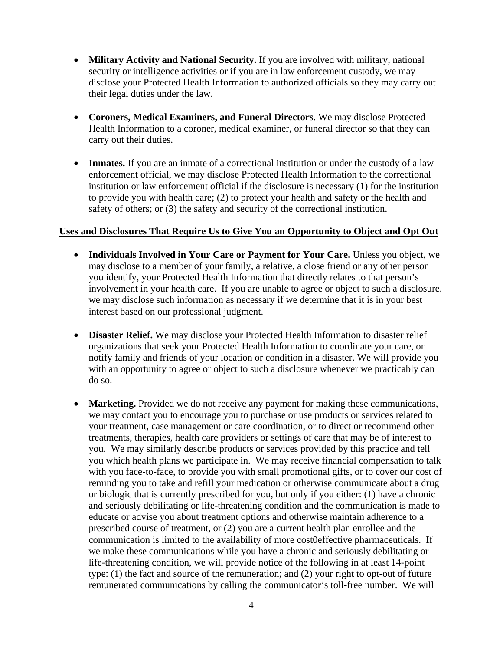- Military Activity and National Security. If you are involved with military, national security or intelligence activities or if you are in law enforcement custody, we may disclose your Protected Health Information to authorized officials so they may carry out their legal duties under the law.
- **Coroners, Medical Examiners, and Funeral Directors**. We may disclose Protected Health Information to a coroner, medical examiner, or funeral director so that they can carry out their duties.
- **Inmates.** If you are an inmate of a correctional institution or under the custody of a law enforcement official, we may disclose Protected Health Information to the correctional institution or law enforcement official if the disclosure is necessary (1) for the institution to provide you with health care; (2) to protect your health and safety or the health and safety of others; or (3) the safety and security of the correctional institution.

#### **Uses and Disclosures That Require Us to Give You an Opportunity to Object and Opt Out**

- **Individuals Involved in Your Care or Payment for Your Care.** Unless you object, we may disclose to a member of your family, a relative, a close friend or any other person you identify, your Protected Health Information that directly relates to that person's involvement in your health care. If you are unable to agree or object to such a disclosure, we may disclose such information as necessary if we determine that it is in your best interest based on our professional judgment.
- **Disaster Relief.** We may disclose your Protected Health Information to disaster relief organizations that seek your Protected Health Information to coordinate your care, or notify family and friends of your location or condition in a disaster. We will provide you with an opportunity to agree or object to such a disclosure whenever we practicably can do so.
- Marketing. Provided we do not receive any payment for making these communications, we may contact you to encourage you to purchase or use products or services related to your treatment, case management or care coordination, or to direct or recommend other treatments, therapies, health care providers or settings of care that may be of interest to you. We may similarly describe products or services provided by this practice and tell you which health plans we participate in. We may receive financial compensation to talk with you face-to-face, to provide you with small promotional gifts, or to cover our cost of reminding you to take and refill your medication or otherwise communicate about a drug or biologic that is currently prescribed for you, but only if you either: (1) have a chronic and seriously debilitating or life-threatening condition and the communication is made to educate or advise you about treatment options and otherwise maintain adherence to a prescribed course of treatment, or (2) you are a current health plan enrollee and the communication is limited to the availability of more cost0effective pharmaceuticals. If we make these communications while you have a chronic and seriously debilitating or life-threatening condition, we will provide notice of the following in at least 14-point type: (1) the fact and source of the remuneration; and (2) your right to opt-out of future remunerated communications by calling the communicator's toll-free number. We will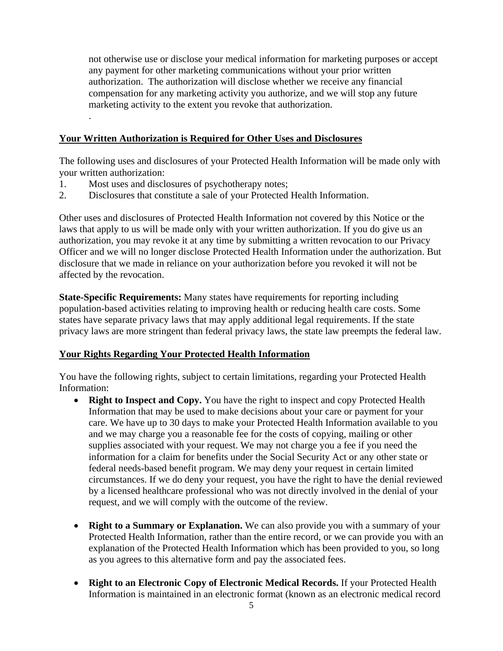not otherwise use or disclose your medical information for marketing purposes or accept any payment for other marketing communications without your prior written authorization. The authorization will disclose whether we receive any financial compensation for any marketing activity you authorize, and we will stop any future marketing activity to the extent you revoke that authorization.

## **Your Written Authorization is Required for Other Uses and Disclosures**

The following uses and disclosures of your Protected Health Information will be made only with your written authorization:

- 1. Most uses and disclosures of psychotherapy notes;
- 2. Disclosures that constitute a sale of your Protected Health Information.

Other uses and disclosures of Protected Health Information not covered by this Notice or the laws that apply to us will be made only with your written authorization. If you do give us an authorization, you may revoke it at any time by submitting a written revocation to our Privacy Officer and we will no longer disclose Protected Health Information under the authorization. But disclosure that we made in reliance on your authorization before you revoked it will not be affected by the revocation.

**State-Specific Requirements:** Many states have requirements for reporting including population-based activities relating to improving health or reducing health care costs. Some states have separate privacy laws that may apply additional legal requirements. If the state privacy laws are more stringent than federal privacy laws, the state law preempts the federal law.

#### **Your Rights Regarding Your Protected Health Information**

You have the following rights, subject to certain limitations, regarding your Protected Health Information:

- **Right to Inspect and Copy.** You have the right to inspect and copy Protected Health Information that may be used to make decisions about your care or payment for your care. We have up to 30 days to make your Protected Health Information available to you and we may charge you a reasonable fee for the costs of copying, mailing or other supplies associated with your request. We may not charge you a fee if you need the information for a claim for benefits under the Social Security Act or any other state or federal needs-based benefit program. We may deny your request in certain limited circumstances. If we do deny your request, you have the right to have the denial reviewed by a licensed healthcare professional who was not directly involved in the denial of your request, and we will comply with the outcome of the review.
- **Right to a Summary or Explanation.** We can also provide you with a summary of your Protected Health Information, rather than the entire record, or we can provide you with an explanation of the Protected Health Information which has been provided to you, so long as you agrees to this alternative form and pay the associated fees.
- **Right to an Electronic Copy of Electronic Medical Records.** If your Protected Health Information is maintained in an electronic format (known as an electronic medical record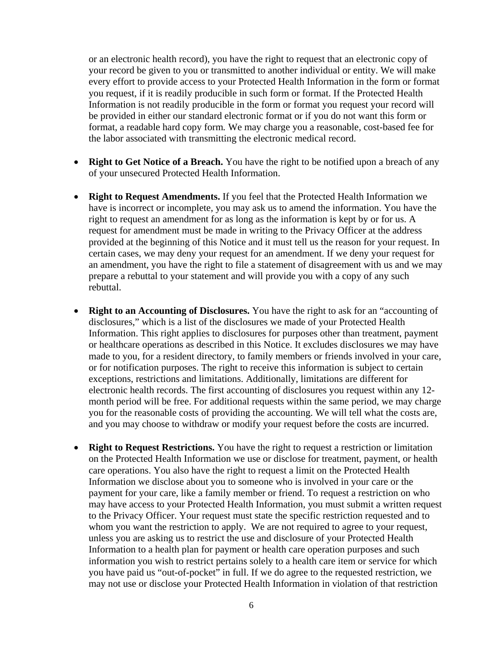or an electronic health record), you have the right to request that an electronic copy of your record be given to you or transmitted to another individual or entity. We will make every effort to provide access to your Protected Health Information in the form or format you request, if it is readily producible in such form or format. If the Protected Health Information is not readily producible in the form or format you request your record will be provided in either our standard electronic format or if you do not want this form or format, a readable hard copy form*.* We may charge you a reasonable, cost-based fee for the labor associated with transmitting the electronic medical record.

- **Right to Get Notice of a Breach.** You have the right to be notified upon a breach of any of your unsecured Protected Health Information.
- **Right to Request Amendments.** If you feel that the Protected Health Information we have is incorrect or incomplete, you may ask us to amend the information. You have the right to request an amendment for as long as the information is kept by or for us. A request for amendment must be made in writing to the Privacy Officer at the address provided at the beginning of this Notice and it must tell us the reason for your request. In certain cases, we may deny your request for an amendment. If we deny your request for an amendment, you have the right to file a statement of disagreement with us and we may prepare a rebuttal to your statement and will provide you with a copy of any such rebuttal.
- **Right to an Accounting of Disclosures.** You have the right to ask for an "accounting of disclosures," which is a list of the disclosures we made of your Protected Health Information. This right applies to disclosures for purposes other than treatment, payment or healthcare operations as described in this Notice. It excludes disclosures we may have made to you, for a resident directory, to family members or friends involved in your care, or for notification purposes. The right to receive this information is subject to certain exceptions, restrictions and limitations. Additionally, limitations are different for electronic health records. The first accounting of disclosures you request within any 12 month period will be free. For additional requests within the same period, we may charge you for the reasonable costs of providing the accounting. We will tell what the costs are, and you may choose to withdraw or modify your request before the costs are incurred.
- **Right to Request Restrictions.** You have the right to request a restriction or limitation on the Protected Health Information we use or disclose for treatment, payment, or health care operations. You also have the right to request a limit on the Protected Health Information we disclose about you to someone who is involved in your care or the payment for your care, like a family member or friend. To request a restriction on who may have access to your Protected Health Information, you must submit a written request to the Privacy Officer. Your request must state the specific restriction requested and to whom you want the restriction to apply. We are not required to agree to your request, unless you are asking us to restrict the use and disclosure of your Protected Health Information to a health plan for payment or health care operation purposes and such information you wish to restrict pertains solely to a health care item or service for which you have paid us "out-of-pocket" in full. If we do agree to the requested restriction, we may not use or disclose your Protected Health Information in violation of that restriction